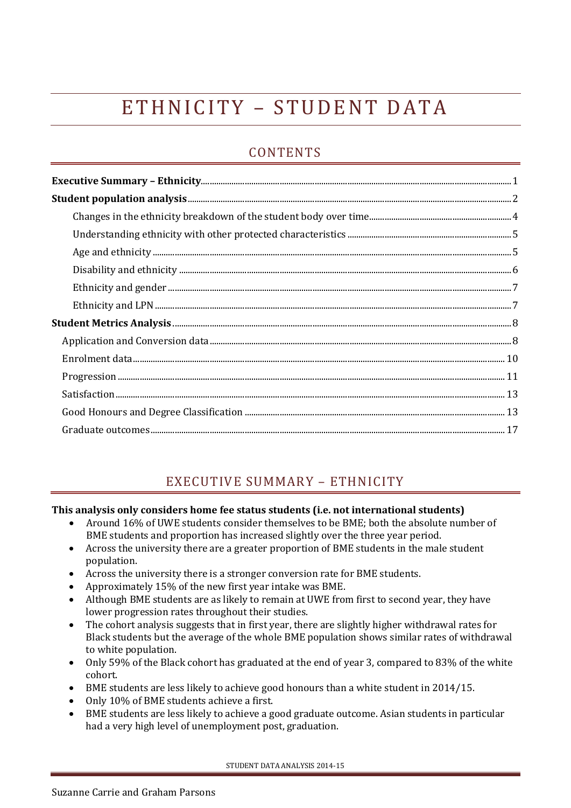# E THNICITY - STUDENT DATA

# **CONTENTS**

# EXECUTIVE SUMMARY – ETHNICITY

## <span id="page-0-0"></span>**This analysis only considers home fee status students (i.e. not international students)**

- Around 16% of UWE students consider themselves to be BME; both the absolute number of BME students and proportion has increased slightly over the three year period.
- Across the university there are a greater proportion of BME students in the male student population.
- Across the university there is a stronger conversion rate for BME students.
- Approximately 15% of the new first year intake was BME.
- Although BME students are as likely to remain at UWE from first to second year, they have lower progression rates throughout their studies.
- The cohort analysis suggests that in first year, there are slightly higher withdrawal rates for Black students but the average of the whole BME population shows similar rates of withdrawal to white population.
- Only 59% of the Black cohort has graduated at the end of year 3, compared to 83% of the white cohort.
- BME students are less likely to achieve good honours than a white student in 2014/15.
- Only 10% of BME students achieve a first.
- BME students are less likely to achieve a good graduate outcome. Asian students in particular had a very high level of unemployment post, graduation.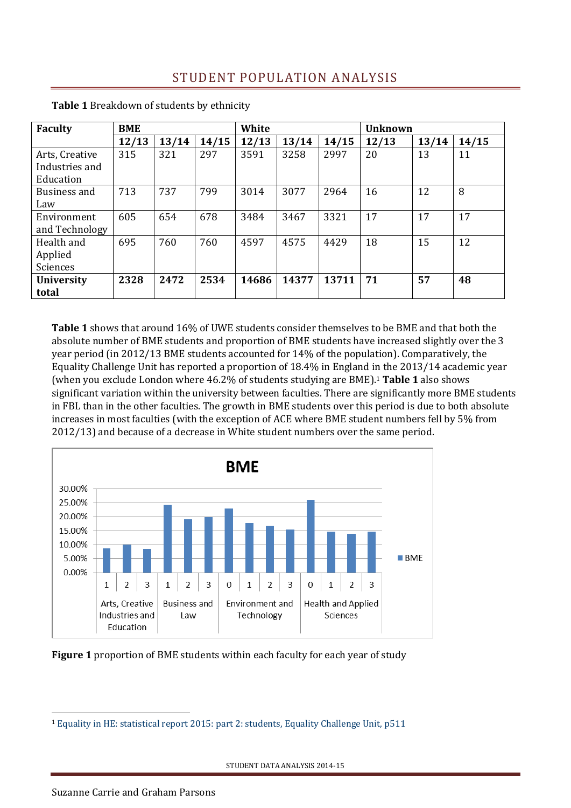| <b>Faculty</b>                                | <b>BME</b> |       |       | White |       |       | <b>Unknown</b> |       |       |
|-----------------------------------------------|------------|-------|-------|-------|-------|-------|----------------|-------|-------|
|                                               | 12/13      | 13/14 | 14/15 | 12/13 | 13/14 | 14/15 | 12/13          | 13/14 | 14/15 |
| Arts, Creative<br>Industries and<br>Education | 315        | 321   | 297   | 3591  | 3258  | 2997  | 20             | 13    | 11    |
| Business and<br>Law                           | 713        | 737   | 799   | 3014  | 3077  | 2964  | 16             | 12    | 8     |
| Environment<br>and Technology                 | 605        | 654   | 678   | 3484  | 3467  | 3321  | 17             | 17    | 17    |
| Health and<br>Applied<br>Sciences             | 695        | 760   | 760   | 4597  | 4575  | 4429  | 18             | 15    | 12    |
| <b>University</b><br>total                    | 2328       | 2472  | 2534  | 14686 | 14377 | 13711 | 71             | 57    | 48    |

<span id="page-1-0"></span>**Table 1** Breakdown of students by ethnicity

**Table 1** shows that around 16% of UWE students consider themselves to be BME and that both the absolute number of BME students and proportion of BME students have increased slightly over the 3 year period (in 2012/13 BME students accounted for 14% of the population). Comparatively, the Equality Challenge Unit has reported a proportion of 18.4% in England in the 2013/14 academic year (when you exclude London where 46.2% of students studying are BME).<sup>1</sup> **Table 1** also shows significant variation within the university between faculties. There are significantly more BME students in FBL than in the other faculties. The growth in BME students over this period is due to both absolute increases in most faculties (with the exception of ACE where BME student numbers fell by 5% from 2012/13) and because of a decrease in White student numbers over the same period.



**Figure 1** proportion of BME students within each faculty for each year of study

STUDENT DATA ANALYSIS 2014-15

<u>.</u>

<sup>1</sup> [Equality in HE: statistical report 2015: part 2: students, Equality Challenge Unit, p511](http://www.ecu.ac.uk/wp-content/uploads/2015/11/Equality-in-higher-education-2015-STUDENTS-OSR.docx)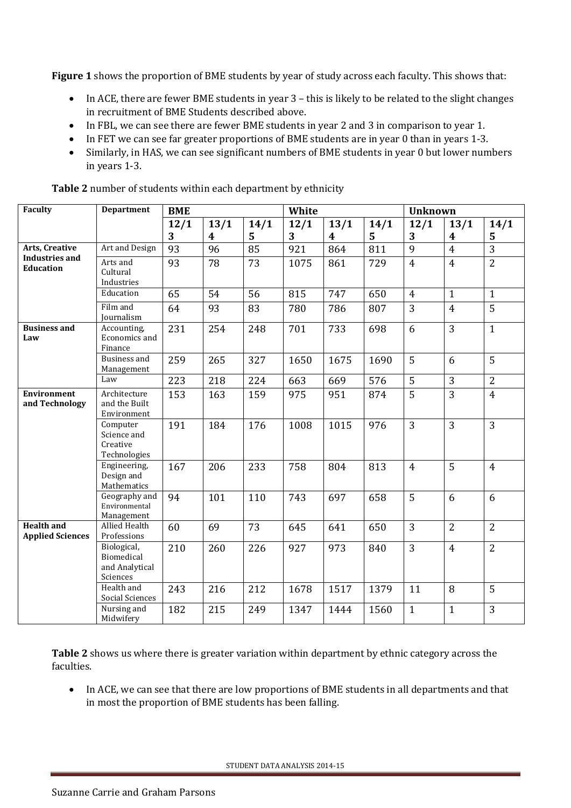**Figure 1** shows the proportion of BME students by year of study across each faculty. This shows that:

- In ACE, there are fewer BME students in year 3 this is likely to be related to the slight changes in recruitment of BME Students described above.
- In FBL, we can see there are fewer BME students in year 2 and 3 in comparison to year 1.
- In FET we can see far greater proportions of BME students are in year 0 than in years 1-3.
- Similarly, in HAS, we can see significant numbers of BME students in year 0 but lower numbers in years 1-3.

| <b>Faculty</b>                               | <b>Department</b>                                       | <b>BME</b> |                  |      | White |                  |      | <b>Unknown</b> |                |                |
|----------------------------------------------|---------------------------------------------------------|------------|------------------|------|-------|------------------|------|----------------|----------------|----------------|
|                                              |                                                         | 12/1       | 13/1             | 14/1 | 12/1  | 13/1             | 14/1 | 12/1           | 13/1           | 14/1           |
|                                              |                                                         | 3          | $\boldsymbol{4}$ | 5    | 3     | $\boldsymbol{4}$ | 5    | 3              | 4              | 5              |
| Arts, Creative                               | Art and Design                                          | 93         | 96               | 85   | 921   | 864              | 811  | 9              | $\overline{4}$ | 3              |
| <b>Industries and</b><br><b>Education</b>    | Arts and<br>Cultural<br>Industries                      | 93         | 78               | 73   | 1075  | 861              | 729  | $\overline{4}$ | $\overline{4}$ | $\overline{2}$ |
|                                              | Education                                               | 65         | 54               | 56   | 815   | 747              | 650  | $\overline{4}$ | $\mathbf{1}$   | $\mathbf{1}$   |
|                                              | Film and<br>Journalism                                  | 64         | 93               | 83   | 780   | 786              | 807  | 3              | $\overline{4}$ | $\overline{5}$ |
| <b>Business and</b><br>Law                   | Accounting,<br>Economics and<br>Finance                 | 231        | 254              | 248  | 701   | 733              | 698  | 6              | 3              | $\mathbf{1}$   |
|                                              | <b>Business and</b><br>Management                       | 259        | 265              | 327  | 1650  | 1675             | 1690 | 5              | 6              | 5              |
|                                              | Law                                                     | 223        | 218              | 224  | 663   | 669              | 576  | $\overline{5}$ | $\overline{3}$ | $\overline{2}$ |
| <b>Environment</b><br>and Technology         | Architecture<br>and the Built<br>Environment            | 153        | 163              | 159  | 975   | 951              | 874  | 5              | 3              | $\overline{4}$ |
|                                              | Computer<br>Science and<br>Creative<br>Technologies     | 191        | 184              | 176  | 1008  | 1015             | 976  | 3              | $\overline{3}$ | $\overline{3}$ |
|                                              | Engineering,<br>Design and<br>Mathematics               | 167        | 206              | 233  | 758   | 804              | 813  | $\overline{4}$ | 5              | $\overline{4}$ |
|                                              | Geography and<br>Environmental<br>Management            | 94         | 101              | 110  | 743   | 697              | 658  | 5              | 6              | 6              |
| <b>Health and</b><br><b>Applied Sciences</b> | <b>Allied Health</b><br>Professions                     | 60         | 69               | 73   | 645   | 641              | 650  | $\overline{3}$ | $\overline{2}$ | $\overline{2}$ |
|                                              | Biological,<br>Biomedical<br>and Analytical<br>Sciences | 210        | 260              | 226  | 927   | 973              | 840  | 3              | $\overline{4}$ | $\overline{2}$ |
|                                              | Health and<br>Social Sciences                           | 243        | 216              | 212  | 1678  | 1517             | 1379 | 11             | 8              | 5              |
|                                              | Nursing and<br>Midwifery                                | 182        | 215              | 249  | 1347  | 1444             | 1560 | $\mathbf{1}$   | $\mathbf{1}$   | 3              |

**Table 2** number of students within each department by ethnicity

**Table 2** shows us where there is greater variation within department by ethnic category across the faculties.

• In ACE, we can see that there are low proportions of BME students in all departments and that in most the proportion of BME students has been falling.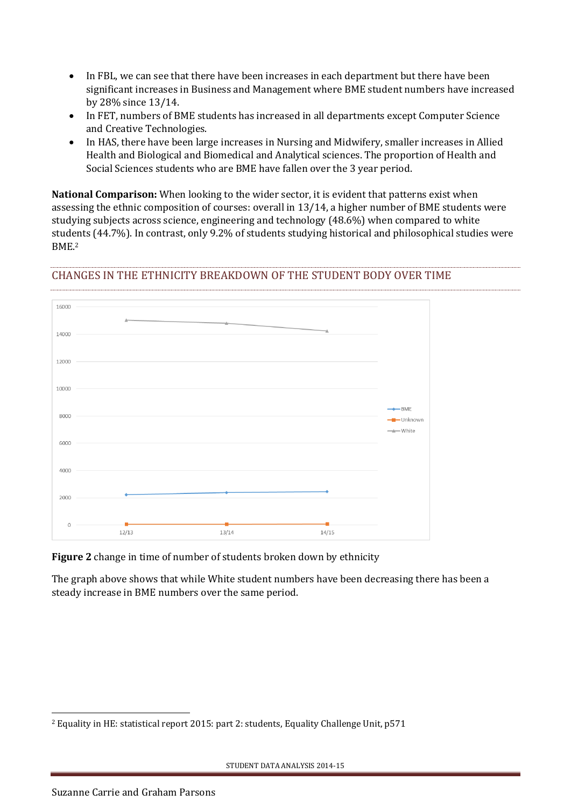- In FBL, we can see that there have been increases in each department but there have been significant increases in Business and Management where BME student numbers have increased by 28% since 13/14.
- In FET, numbers of BME students has increased in all departments except Computer Science and Creative Technologies.
- In HAS, there have been large increases in Nursing and Midwifery, smaller increases in Allied Health and Biological and Biomedical and Analytical sciences. The proportion of Health and Social Sciences students who are BME have fallen over the 3 year period.

**National Comparison:** When looking to the wider sector, it is evident that patterns exist when assessing the ethnic composition of courses: overall in 13/14, a higher number of BME students were studying subjects across science, engineering and technology (48.6%) when compared to white students (44.7%). In contrast, only 9.2% of students studying historical and philosophical studies were BME.<sup>2</sup>

## <span id="page-3-0"></span>CHANGES IN THE ETHNICITY BREAKDOWN OF THE STUDENT BODY OVER TIME



**Figure 2** change in time of number of students broken down by ethnicity

The graph above shows that while White student numbers have been decreasing there has been a steady increase in BME numbers over the same period.

<u>.</u>

<sup>2</sup> Equality in HE: statistical report 2015: part 2: students, Equality Challenge Unit, p571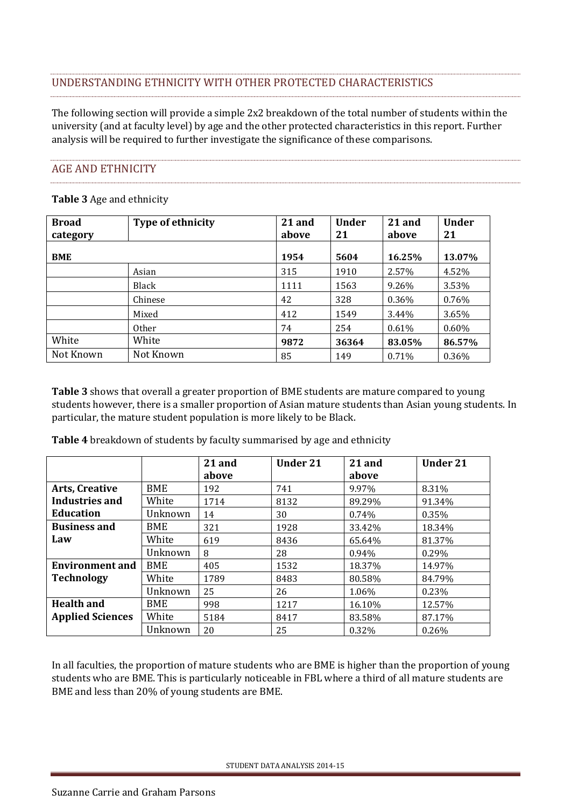# <span id="page-4-0"></span>UNDERSTANDING ETHNICITY WITH OTHER PROTECTED CHARACTERISTICS

The following section will provide a simple 2x2 breakdown of the total number of students within the university (and at faculty level) by age and the other protected characteristics in this report. Further analysis will be required to further investigate the significance of these comparisons.

#### <span id="page-4-1"></span>AGE AND ETHNICITY

#### **Table 3** Age and ethnicity

| <b>Broad</b><br>category | <b>Type of ethnicity</b> | 21 and<br>above | <b>Under</b><br>21 | 21 and<br>above | <b>Under</b><br>21 |
|--------------------------|--------------------------|-----------------|--------------------|-----------------|--------------------|
| <b>BME</b>               |                          | 1954            | 5604               | 16.25%          | 13.07%             |
|                          | Asian                    | 315             | 1910               | 2.57%           | 4.52%              |
|                          | Black                    | 1111            | 1563               | 9.26%           | 3.53%              |
|                          | Chinese                  | 42              | 328                | 0.36%           | 0.76%              |
|                          | Mixed                    | 412             | 1549               | 3.44%           | 3.65%              |
|                          | <b>Other</b>             | 74              | 254                | 0.61%           | $0.60\%$           |
| White                    | White                    | 9872            | 36364              | 83.05%          | 86.57%             |
| Not Known                | Not Known                | 85              | 149                | 0.71%           | 0.36%              |

**Table 3** shows that overall a greater proportion of BME students are mature compared to young students however, there is a smaller proportion of Asian mature students than Asian young students. In particular, the mature student population is more likely to be Black.

**Table 4** breakdown of students by faculty summarised by age and ethnicity

|                         |            | 21 and | <b>Under 21</b> | 21 and | <b>Under 21</b> |
|-------------------------|------------|--------|-----------------|--------|-----------------|
|                         |            | above  |                 | above  |                 |
| <b>Arts, Creative</b>   | BME        | 192    | 741             | 9.97%  | 8.31%           |
| <b>Industries and</b>   | White      | 1714   | 8132            | 89.29% | 91.34%          |
| <b>Education</b>        | Unknown    | 14     | 30              | 0.74%  | 0.35%           |
| <b>Business and</b>     | <b>BME</b> | 321    | 1928            | 33.42% | 18.34%          |
| Law                     | White      | 619    | 8436            | 65.64% | 81.37%          |
|                         | Unknown    | 8      | 28              | 0.94%  | 0.29%           |
| <b>Environment and</b>  | <b>BME</b> | 405    | 1532            | 18.37% | 14.97%          |
| <b>Technology</b>       | White      | 1789   | 8483            | 80.58% | 84.79%          |
|                         | Unknown    | 25     | 26              | 1.06%  | 0.23%           |
| <b>Health and</b>       | <b>BME</b> | 998    | 1217            | 16.10% | 12.57%          |
| <b>Applied Sciences</b> | White      | 5184   | 8417            | 83.58% | 87.17%          |
|                         | Unknown    | 20     | 25              | 0.32%  | 0.26%           |

In all faculties, the proportion of mature students who are BME is higher than the proportion of young students who are BME. This is particularly noticeable in FBL where a third of all mature students are BME and less than 20% of young students are BME.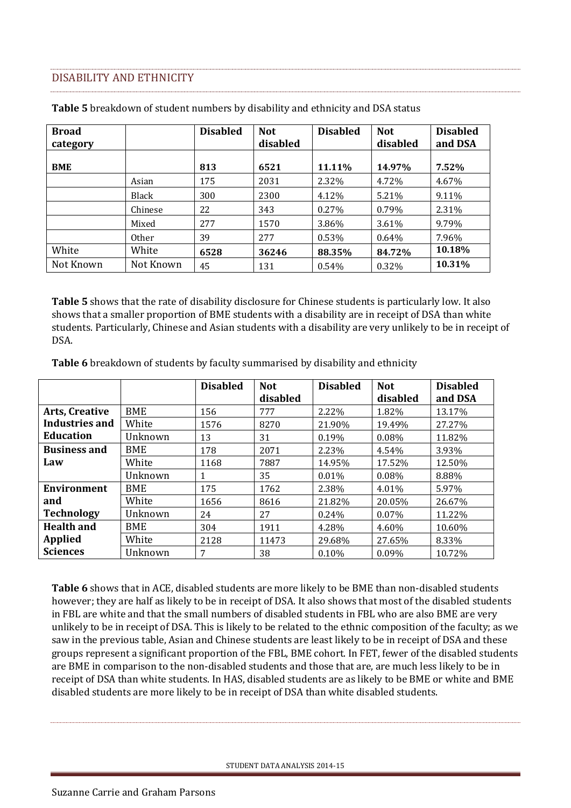#### <span id="page-5-0"></span>DISABILITY AND ETHNICITY

| <b>Broad</b> |              | <b>Disabled</b> | <b>Not</b> | <b>Disabled</b> | <b>Not</b> | <b>Disabled</b> |
|--------------|--------------|-----------------|------------|-----------------|------------|-----------------|
| category     |              |                 | disabled   |                 | disabled   | and DSA         |
| <b>BME</b>   |              | 813             | 6521       | 11.11%          | 14.97%     | 7.52%           |
|              | Asian        | 175             | 2031       | 2.32%           | 4.72%      | 4.67%           |
|              | Black        | 300             | 2300       | 4.12%           | 5.21%      | 9.11%           |
|              | Chinese      | 22              | 343        | 0.27%           | 0.79%      | 2.31%           |
|              | Mixed        | 277             | 1570       | 3.86%           | 3.61%      | 9.79%           |
|              | <b>Other</b> | 39              | 277        | 0.53%           | 0.64%      | 7.96%           |
| White        | White        | 6528            | 36246      | 88.35%          | 84.72%     | 10.18%          |
| Not Known    | Not Known    | 45              | 131        | 0.54%           | 0.32%      | 10.31%          |

**Table 5** breakdown of student numbers by disability and ethnicity and DSA status

**Table 5** shows that the rate of disability disclosure for Chinese students is particularly low. It also shows that a smaller proportion of BME students with a disability are in receipt of DSA than white students. Particularly, Chinese and Asian students with a disability are very unlikely to be in receipt of DSA.

**Table 6** breakdown of students by faculty summarised by disability and ethnicity

|                       |         | <b>Disabled</b> | <b>Not</b><br>disabled | <b>Disabled</b> | <b>Not</b><br>disabled | <b>Disabled</b><br>and DSA |
|-----------------------|---------|-----------------|------------------------|-----------------|------------------------|----------------------------|
| <b>Arts, Creative</b> | BME     | 156             | 777                    | 2.22%           | 1.82%                  | 13.17%                     |
| Industries and        | White   | 1576            | 8270                   | 21.90%          | 19.49%                 | 27.27%                     |
| <b>Education</b>      | Unknown | 13              | 31                     | 0.19%           | 0.08%                  | 11.82%                     |
| <b>Business and</b>   | BME     | 178             | 2071                   | 2.23%           | 4.54%                  | 3.93%                      |
| Law                   | White   | 1168            | 7887                   | 14.95%          | 17.52%                 | 12.50%                     |
|                       | Unknown | 1               | 35                     | 0.01%           | 0.08%                  | 8.88%                      |
| Environment           | BME     | 175             | 1762                   | 2.38%           | 4.01%                  | 5.97%                      |
| and                   | White   | 1656            | 8616                   | 21.82%          | 20.05%                 | 26.67%                     |
| <b>Technology</b>     | Unknown | 24              | 27                     | 0.24%           | 0.07%                  | 11.22%                     |
| <b>Health and</b>     | BME     | 304             | 1911                   | 4.28%           | 4.60%                  | 10.60%                     |
| <b>Applied</b>        | White   | 2128            | 11473                  | 29.68%          | 27.65%                 | 8.33%                      |
| <b>Sciences</b>       | Unknown | 7               | 38                     | 0.10%           | $0.09\%$               | 10.72%                     |

**Table 6** shows that in ACE, disabled students are more likely to be BME than non-disabled students however; they are half as likely to be in receipt of DSA. It also shows that most of the disabled students in FBL are white and that the small numbers of disabled students in FBL who are also BME are very unlikely to be in receipt of DSA. This is likely to be related to the ethnic composition of the faculty; as we saw in the previous table, Asian and Chinese students are least likely to be in receipt of DSA and these groups represent a significant proportion of the FBL, BME cohort. In FET, fewer of the disabled students are BME in comparison to the non-disabled students and those that are, are much less likely to be in receipt of DSA than white students. In HAS, disabled students are as likely to be BME or white and BME disabled students are more likely to be in receipt of DSA than white disabled students.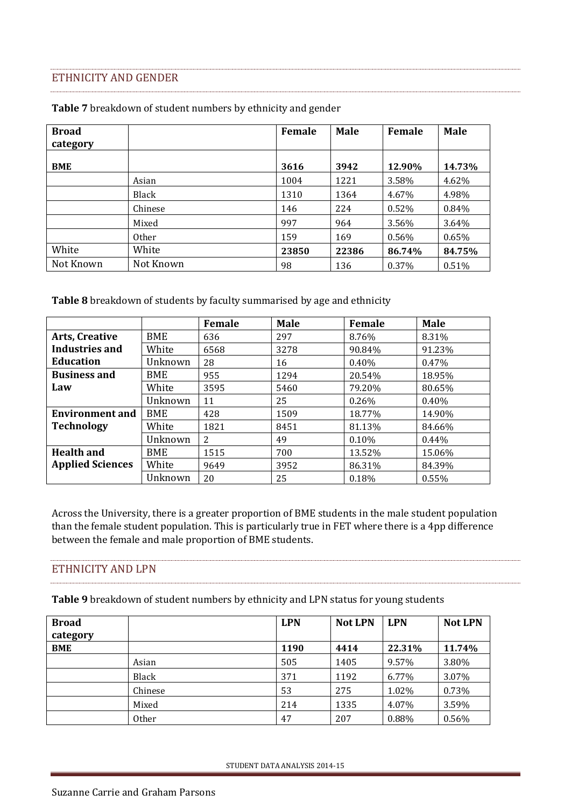#### <span id="page-6-0"></span>ETHNICITY AND GENDER

| <b>Broad</b><br>category |              | Female | <b>Male</b> | Female | <b>Male</b> |
|--------------------------|--------------|--------|-------------|--------|-------------|
| <b>BME</b>               |              | 3616   | 3942        | 12.90% | 14.73%      |
|                          | Asian        | 1004   | 1221        | 3.58%  | 4.62%       |
|                          | Black        | 1310   | 1364        | 4.67%  | 4.98%       |
|                          | Chinese      | 146    | 224         | 0.52%  | 0.84%       |
|                          | Mixed        | 997    | 964         | 3.56%  | 3.64%       |
|                          | <b>Other</b> | 159    | 169         | 0.56%  | 0.65%       |
| White                    | White        | 23850  | 22386       | 86.74% | 84.75%      |
| Not Known                | Not Known    | 98     | 136         | 0.37%  | 0.51%       |

**Table 7** breakdown of student numbers by ethnicity and gender

**Table 8** breakdown of students by faculty summarised by age and ethnicity

|                         |            | <b>Female</b> | <b>Male</b> | Female   | <b>Male</b> |
|-------------------------|------------|---------------|-------------|----------|-------------|
| Arts, Creative          | BME        | 636           | 297         | 8.76%    | 8.31%       |
| Industries and          | White      | 6568          | 3278        | 90.84%   | 91.23%      |
| <b>Education</b>        | Unknown    | 28            | 16          | $0.40\%$ | 0.47%       |
| <b>Business and</b>     | <b>BME</b> | 955           | 1294        | 20.54%   | 18.95%      |
| Law                     | White      | 3595          | 5460        | 79.20%   | 80.65%      |
|                         | Unknown    | 11            | 25          | 0.26%    | $0.40\%$    |
| <b>Environment and</b>  | <b>BME</b> | 428           | 1509        | 18.77%   | 14.90%      |
| <b>Technology</b>       | White      | 1821          | 8451        | 81.13%   | 84.66%      |
|                         | Unknown    | 2             | 49          | $0.10\%$ | $0.44\%$    |
| <b>Health and</b>       | BME        | 1515          | 700         | 13.52%   | 15.06%      |
| <b>Applied Sciences</b> | White      | 9649          | 3952        | 86.31%   | 84.39%      |
|                         | Unknown    | 20            | 25          | 0.18%    | 0.55%       |

Across the University, there is a greater proportion of BME students in the male student population than the female student population. This is particularly true in FET where there is a 4pp difference between the female and male proportion of BME students.

#### <span id="page-6-1"></span>ETHNICITY AND LPN

**Table 9** breakdown of student numbers by ethnicity and LPN status for young students

| <b>Broad</b><br>category |         | <b>LPN</b> | <b>Not LPN</b> | <b>LPN</b> | <b>Not LPN</b> |
|--------------------------|---------|------------|----------------|------------|----------------|
| <b>BME</b>               |         | 1190       | 4414           | 22.31%     | 11.74%         |
|                          | Asian   | 505        | 1405           | 9.57%      | 3.80%          |
|                          | Black   | 371        | 1192           | 6.77%      | 3.07%          |
|                          | Chinese | 53         | 275            | 1.02%      | 0.73%          |
|                          | Mixed   | 214        | 1335           | 4.07%      | 3.59%          |
|                          | Other   | 47         | 207            | 0.88%      | 0.56%          |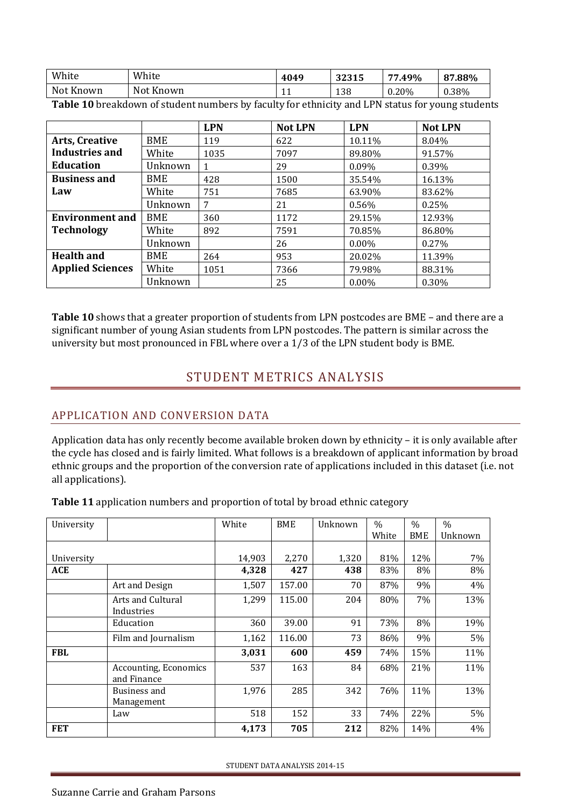| White                 | White               | 4049      | つつつイビ<br>34313 | .49%<br>-- | 87.88% |
|-----------------------|---------------------|-----------|----------------|------------|--------|
| <b>Not</b><br>: Known | <b>Not</b><br>Known | <b>**</b> | 138            | 0.20%      | 0.38%  |

**Table 10** breakdown of student numbers by faculty for ethnicity and LPN status for young students

|                         |            | <b>LPN</b> | <b>Not LPN</b> | <b>LPN</b> | <b>Not LPN</b> |
|-------------------------|------------|------------|----------------|------------|----------------|
| <b>Arts, Creative</b>   | <b>BME</b> | 119        | 622            | 10.11%     | 8.04%          |
| <b>Industries and</b>   | White      | 1035       | 7097           | 89.80%     | 91.57%         |
| <b>Education</b>        | Unknown    |            | 29             | 0.09%      | 0.39%          |
| <b>Business and</b>     | <b>BME</b> | 428        | 1500           | 35.54%     | 16.13%         |
| Law                     | White      | 751        | 7685           | 63.90%     | 83.62%         |
|                         | Unknown    | 7          | 21             | 0.56%      | 0.25%          |
| <b>Environment and</b>  | <b>BME</b> | 360        | 1172           | 29.15%     | 12.93%         |
| <b>Technology</b>       | White      | 892        | 7591           | 70.85%     | 86.80%         |
|                         | Unknown    |            | 26             | $0.00\%$   | $0.27\%$       |
| <b>Health and</b>       | <b>BME</b> | 264        | 953            | 20.02%     | 11.39%         |
| <b>Applied Sciences</b> | White      | 1051       | 7366           | 79.98%     | 88.31%         |
|                         | Unknown    |            | 25             | $0.00\%$   | $0.30\%$       |

<span id="page-7-0"></span>**Table 10** shows that a greater proportion of students from LPN postcodes are BME – and there are a significant number of young Asian students from LPN postcodes. The pattern is similar across the university but most pronounced in FBL where over a 1/3 of the LPN student body is BME.

# STUDENT METRICS ANALYSIS

# <span id="page-7-1"></span>APPLICATION AND CONVERSION DATA

Application data has only recently become available broken down by ethnicity – it is only available after the cycle has closed and is fairly limited. What follows is a breakdown of applicant information by broad ethnic groups and the proportion of the conversion rate of applications included in this dataset (i.e. not all applications).

|  |  |  | Table 11 application numbers and proportion of total by broad ethnic category |
|--|--|--|-------------------------------------------------------------------------------|
|  |  |  |                                                                               |

| University |                              | White  | <b>BME</b> | Unknown | $\%$  | $\frac{0}{0}$ | $\frac{0}{0}$ |
|------------|------------------------------|--------|------------|---------|-------|---------------|---------------|
|            |                              |        |            |         | White | <b>BME</b>    | Unknown       |
|            |                              |        |            |         |       |               |               |
| University |                              | 14,903 | 2,270      | 1,320   | 81%   | 12%           | 7%            |
| ACE        |                              | 4,328  | 427        | 438     | 83%   | 8%            | 8%            |
|            | Art and Design               | 1,507  | 157.00     | 70      | 87%   | 9%            | 4%            |
|            | Arts and Cultural            | 1,299  | 115.00     | 204     | 80%   | 7%            | 13%           |
|            | Industries                   |        |            |         |       |               |               |
|            | Education                    | 360    | 39.00      | 91      | 73%   | 8%            | 19%           |
|            | Film and Journalism          | 1,162  | 116.00     | 73      | 86%   | 9%            | 5%            |
| <b>FBL</b> |                              | 3,031  | 600        | 459     | 74%   | 15%           | 11%           |
|            | <b>Accounting, Economics</b> | 537    | 163        | 84      | 68%   | 21%           | 11%           |
|            | and Finance                  |        |            |         |       |               |               |
|            | Business and                 | 1,976  | 285        | 342     | 76%   | 11%           | 13%           |
|            | Management                   |        |            |         |       |               |               |
|            | Law                          | 518    | 152        | 33      | 74%   | 22%           | 5%            |
| <b>FET</b> |                              | 4,173  | 705        | 212     | 82%   | 14%           | 4%            |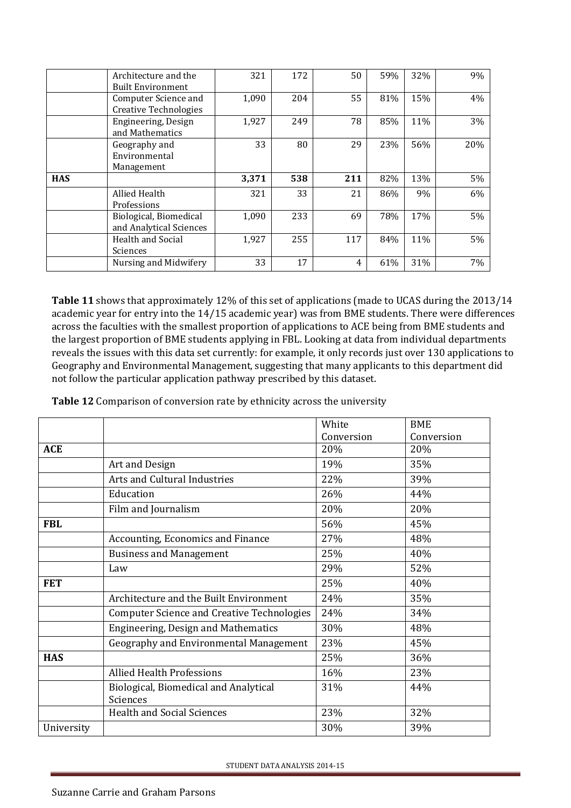|            | Architecture and the<br><b>Built Environment</b>     | 321   | 172 | 50  | 59% | 32% | 9%  |
|------------|------------------------------------------------------|-------|-----|-----|-----|-----|-----|
|            | Computer Science and<br><b>Creative Technologies</b> | 1,090 | 204 | 55  | 81% | 15% | 4%  |
|            | Engineering, Design<br>and Mathematics               | 1,927 | 249 | 78  | 85% | 11% | 3%  |
|            | Geography and<br>Environmental<br>Management         | 33    | 80  | 29  | 23% | 56% | 20% |
| <b>HAS</b> |                                                      | 3,371 | 538 | 211 | 82% | 13% | 5%  |
|            | Allied Health<br>Professions                         | 321   | 33  | 21  | 86% | 9%  | 6%  |
|            | Biological, Biomedical<br>and Analytical Sciences    | 1,090 | 233 | 69  | 78% | 17% | 5%  |
|            | <b>Health and Social</b><br>Sciences                 | 1,927 | 255 | 117 | 84% | 11% | 5%  |
|            | Nursing and Midwifery                                | 33    | 17  | 4   | 61% | 31% | 7%  |

**Table 11** shows that approximately 12% of this set of applications (made to UCAS during the 2013/14 academic year for entry into the 14/15 academic year) was from BME students. There were differences across the faculties with the smallest proportion of applications to ACE being from BME students and the largest proportion of BME students applying in FBL. Looking at data from individual departments reveals the issues with this data set currently: for example, it only records just over 130 applications to Geography and Environmental Management, suggesting that many applicants to this department did not follow the particular application pathway prescribed by this dataset.

**Table 12** Comparison of conversion rate by ethnicity across the university

|            |                                                   | White      | <b>BME</b> |
|------------|---------------------------------------------------|------------|------------|
|            |                                                   | Conversion | Conversion |
| <b>ACE</b> |                                                   | 20%        | 20%        |
|            | Art and Design                                    | 19%        | 35%        |
|            | Arts and Cultural Industries                      | 22%        | 39%        |
|            | Education                                         | 26%        | 44%        |
|            | Film and Journalism                               | 20%        | 20%        |
| <b>FBL</b> |                                                   | 56%        | 45%        |
|            | Accounting, Economics and Finance                 | 27%        | 48%        |
|            | <b>Business and Management</b>                    | 25%        | 40%        |
|            | Law                                               | 29%        | 52%        |
| <b>FET</b> |                                                   | 25%        | 40%        |
|            | Architecture and the Built Environment            | 24%        | 35%        |
|            | <b>Computer Science and Creative Technologies</b> | 24%        | 34%        |
|            | Engineering, Design and Mathematics               | 30%        | 48%        |
|            | Geography and Environmental Management            | 23%        | 45%        |
| <b>HAS</b> |                                                   | 25%        | 36%        |
|            | <b>Allied Health Professions</b>                  | 16%        | 23%        |
|            | Biological, Biomedical and Analytical<br>Sciences | 31%        | 44%        |
|            | <b>Health and Social Sciences</b>                 | 23%        | 32%        |
| University |                                                   | 30%        | 39%        |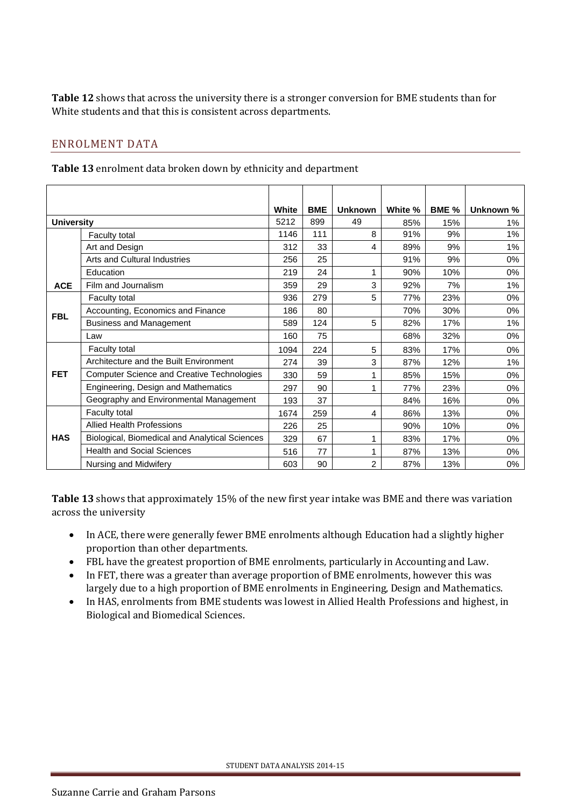**Table 12** shows that across the university there is a stronger conversion for BME students than for White students and that this is consistent across departments.

## <span id="page-9-0"></span>ENROLMENT DATA

**Table 13** enrolment data broken down by ethnicity and department

|                   |                                                   | White | <b>BME</b> | <b>Unknown</b> | White % | BME % | Unknown % |
|-------------------|---------------------------------------------------|-------|------------|----------------|---------|-------|-----------|
| <b>University</b> |                                                   | 5212  | 899        | 49             | 85%     | 15%   | 1%        |
|                   | <b>Faculty total</b>                              | 1146  | 111        | 8              | 91%     | 9%    | 1%        |
|                   | Art and Design                                    | 312   | 33         | 4              | 89%     | 9%    | $1\%$     |
|                   | <b>Arts and Cultural Industries</b>               | 256   | 25         |                | 91%     | 9%    | 0%        |
|                   | Education                                         | 219   | 24         | 1              | 90%     | 10%   | 0%        |
| <b>ACE</b>        | Film and Journalism                               | 359   | 29         | 3              | 92%     | 7%    | 1%        |
|                   | Faculty total                                     | 936   | 279        | 5              | 77%     | 23%   | 0%        |
| <b>FBL</b>        | Accounting, Economics and Finance                 | 186   | 80         |                | 70%     | 30%   | 0%        |
|                   | <b>Business and Management</b>                    | 589   | 124        | 5              | 82%     | 17%   | $1\%$     |
|                   | Law                                               | 160   | 75         |                | 68%     | 32%   | 0%        |
|                   | <b>Faculty total</b>                              | 1094  | 224        | 5              | 83%     | 17%   | 0%        |
|                   | Architecture and the Built Environment            | 274   | 39         | 3              | 87%     | 12%   | 1%        |
| <b>FET</b>        | <b>Computer Science and Creative Technologies</b> | 330   | 59         | 1              | 85%     | 15%   | $0\%$     |
|                   | Engineering, Design and Mathematics               | 297   | 90         |                | 77%     | 23%   | 0%        |
|                   | Geography and Environmental Management            | 193   | 37         |                | 84%     | 16%   | $0\%$     |
|                   | Faculty total                                     | 1674  | 259        | 4              | 86%     | 13%   | $0\%$     |
|                   | <b>Allied Health Professions</b>                  | 226   | 25         |                | 90%     | 10%   | $0\%$     |
| <b>HAS</b>        | Biological, Biomedical and Analytical Sciences    | 329   | 67         | 1              | 83%     | 17%   | $0\%$     |
|                   | <b>Health and Social Sciences</b>                 | 516   | 77         | 1              | 87%     | 13%   | 0%        |
|                   | Nursing and Midwifery                             | 603   | 90         | 2              | 87%     | 13%   | 0%        |

**Table 13** shows that approximately 15% of the new first year intake was BME and there was variation across the university

- In ACE, there were generally fewer BME enrolments although Education had a slightly higher proportion than other departments.
- FBL have the greatest proportion of BME enrolments, particularly in Accounting and Law.
- In FET, there was a greater than average proportion of BME enrolments, however this was largely due to a high proportion of BME enrolments in Engineering, Design and Mathematics.
- In HAS, enrolments from BME students was lowest in Allied Health Professions and highest, in Biological and Biomedical Sciences.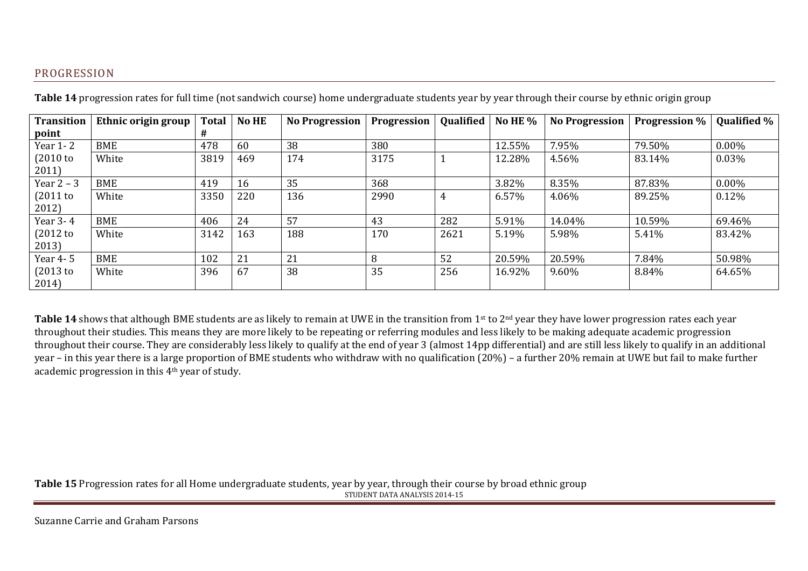## PROGRESSION

| <b>Transition</b> | Ethnic origin group | <b>No HE</b><br><b>Total</b> |     | <b>No Progression</b> | Progression | <b>Qualified</b> | No HE $%$ | <b>No Progression</b> | <b>Progression</b> % | <b>Qualified %</b> |
|-------------------|---------------------|------------------------------|-----|-----------------------|-------------|------------------|-----------|-----------------------|----------------------|--------------------|
| point             |                     | #                            |     |                       |             |                  |           |                       |                      |                    |
| Year 1-2          | <b>BME</b>          | 478                          | 60  | 38                    | 380         |                  | 12.55%    | 7.95%                 | 79.50%               | $0.00\%$           |
| $(2010)$ to       | White               | 3819                         | 469 | 174                   | 3175        |                  | 12.28%    | 4.56%                 | 83.14%               | 0.03%              |
| 2011              |                     |                              |     |                       |             |                  |           |                       |                      |                    |
| Year $2 - 3$      | BME                 | 419                          | 16  | 35                    | 368         |                  | 3.82%     | 8.35%                 | 87.83%               | $0.00\%$           |
| $(2011$ to        | White               | 3350                         | 220 | 136                   | 2990        | 4                | 6.57%     | 4.06%                 | 89.25%               | 0.12%              |
| 2012)             |                     |                              |     |                       |             |                  |           |                       |                      |                    |
| Year 3-4          | BME                 | 406                          | 24  | 57                    | 43          | 282              | 5.91%     | 14.04%                | 10.59%               | 69.46%             |
| $(2012$ to        | White               | 3142                         | 163 | 188                   | 170         | 2621             | 5.19%     | 5.98%                 | 5.41%                | 83.42%             |
| 2013)             |                     |                              |     |                       |             |                  |           |                       |                      |                    |
| Year 4-5          | BME                 | 102                          | 21  | 21                    | 8           | 52               | 20.59%    | 20.59%                | 7.84%                | 50.98%             |
| $(2013)$ to       | White               | 396                          | 67  | 38                    | 35          | 256              | 16.92%    | 9.60%                 | 8.84%                | 64.65%             |
| 2014)             |                     |                              |     |                       |             |                  |           |                       |                      |                    |

**Table 14** progression rates for full time (not sandwich course) home undergraduate students year by year through their course by ethnic origin group

<span id="page-10-0"></span>Table 14 shows that although BME students are as likely to remain at UWE in the transition from 1<sup>st</sup> to 2<sup>nd</sup> year they have lower progression rates each year throughout their studies. This means they are more likely to be repeating or referring modules and less likely to be making adequate academic progression throughout their course. They are considerably less likely to qualify at the end of year 3 (almost 14pp differential) and are still less likely to qualify in an additional year – in this year there is a large proportion of BME students who withdraw with no qualification (20%) – a further 20% remain at UWE but fail to make further academic progression in this 4th year of study.

STUDENT DATA ANALYSIS 2014-15 **Table 15** Progression rates for all Home undergraduate students, year by year, through their course by broad ethnic group

Suzanne Carrie and Graham Parsons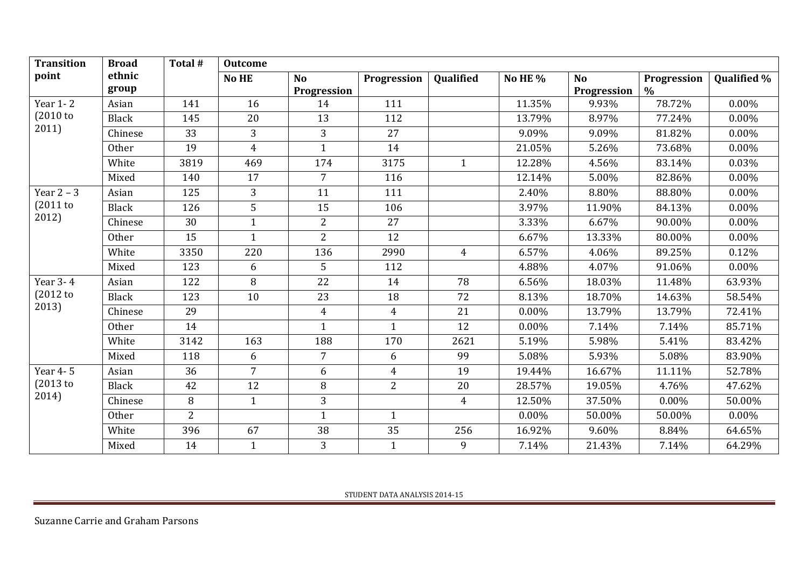| <b>Transition</b> | <b>Broad</b>    | Total #        | <b>Outcome</b> |                          |                |                |          |                          |                     |                    |
|-------------------|-----------------|----------------|----------------|--------------------------|----------------|----------------|----------|--------------------------|---------------------|--------------------|
| point             | ethnic<br>group |                | No HE          | <b>No</b><br>Progression | Progression    | Qualified      | No HE %  | <b>No</b><br>Progression | Progression<br>$\%$ | <b>Qualified %</b> |
| Year 1-2          | Asian           | 141            | 16             | 14                       | 111            |                | 11.35%   | 9.93%                    | 78.72%              | 0.00%              |
| (2010)            | Black           | 145            | 20             | 13                       | 112            |                | 13.79%   | 8.97%                    | 77.24%              | $0.00\%$           |
| 2011)             | Chinese         | 33             | 3              | 3                        | 27             |                | 9.09%    | 9.09%                    | 81.82%              | 0.00%              |
|                   | <b>Other</b>    | 19             | $\overline{4}$ | $\mathbf{1}$             | 14             |                | 21.05%   | 5.26%                    | 73.68%              | 0.00%              |
|                   | White           | 3819           | 469            | 174                      | 3175           | $\mathbf{1}$   | 12.28%   | 4.56%                    | 83.14%              | 0.03%              |
|                   | Mixed           | 140            | 17             | $\overline{7}$           | 116            |                | 12.14%   | 5.00%                    | 82.86%              | 0.00%              |
| Year $2 - 3$      | Asian           | 125            | 3              | 11                       | 111            |                | 2.40%    | 8.80%                    | 88.80%              | 0.00%              |
| $(2011$ to        | <b>Black</b>    | 126            | 5              | 15                       | 106            |                | 3.97%    | 11.90%                   | 84.13%              | $0.00\%$           |
| 2012)             | Chinese         | 30             | $\mathbf{1}$   | $\overline{2}$           | 27             |                | 3.33%    | 6.67%                    | 90.00%              | $0.00\%$           |
|                   | <b>Other</b>    | 15             | $\mathbf{1}$   | $\overline{2}$           | 12             |                | 6.67%    | 13.33%                   | 80.00%              | $0.00\%$           |
|                   | White           | 3350           | 220            | 136                      | 2990           | $\overline{4}$ | 6.57%    | 4.06%                    | 89.25%              | 0.12%              |
|                   | Mixed           | 123            | 6              | 5                        | 112            |                | 4.88%    | 4.07%                    | 91.06%              | $0.00\%$           |
| Year 3-4          | Asian           | 122            | 8              | 22                       | 14             | 78             | 6.56%    | 18.03%                   | 11.48%              | 63.93%             |
| $(2012$ to        | <b>Black</b>    | 123            | 10             | 23                       | 18             | 72             | 8.13%    | 18.70%                   | 14.63%              | 58.54%             |
| 2013)             | Chinese         | 29             |                | $\overline{4}$           | $\overline{4}$ | 21             | $0.00\%$ | 13.79%                   | 13.79%              | 72.41%             |
|                   | <b>Other</b>    | 14             |                | $\mathbf{1}$             | $\mathbf{1}$   | 12             | 0.00%    | 7.14%                    | 7.14%               | 85.71%             |
|                   | White           | 3142           | 163            | 188                      | 170            | 2621           | 5.19%    | 5.98%                    | 5.41%               | 83.42%             |
|                   | Mixed           | 118            | 6              | $\overline{7}$           | 6              | 99             | 5.08%    | 5.93%                    | 5.08%               | 83.90%             |
| Year 4-5          | Asian           | 36             | $\overline{7}$ | 6                        | $\overline{4}$ | 19             | 19.44%   | 16.67%                   | 11.11%              | 52.78%             |
| (2013)            | Black           | 42             | 12             | 8                        | $\overline{2}$ | 20             | 28.57%   | 19.05%                   | 4.76%               | 47.62%             |
| 2014)             | Chinese         | 8              | $\mathbf{1}$   | 3                        |                | $\overline{4}$ | 12.50%   | 37.50%                   | 0.00%               | 50.00%             |
|                   | <b>Other</b>    | $\overline{2}$ |                | $\mathbf{1}$             | $\mathbf{1}$   |                | $0.00\%$ | 50.00%                   | 50.00%              | $0.00\%$           |
|                   | White           | 396            | 67             | 38                       | 35             | 256            | 16.92%   | 9.60%                    | 8.84%               | 64.65%             |
|                   | Mixed           | 14             | $\mathbf{1}$   | 3                        | $\mathbf{1}$   | 9              | 7.14%    | 21.43%                   | 7.14%               | 64.29%             |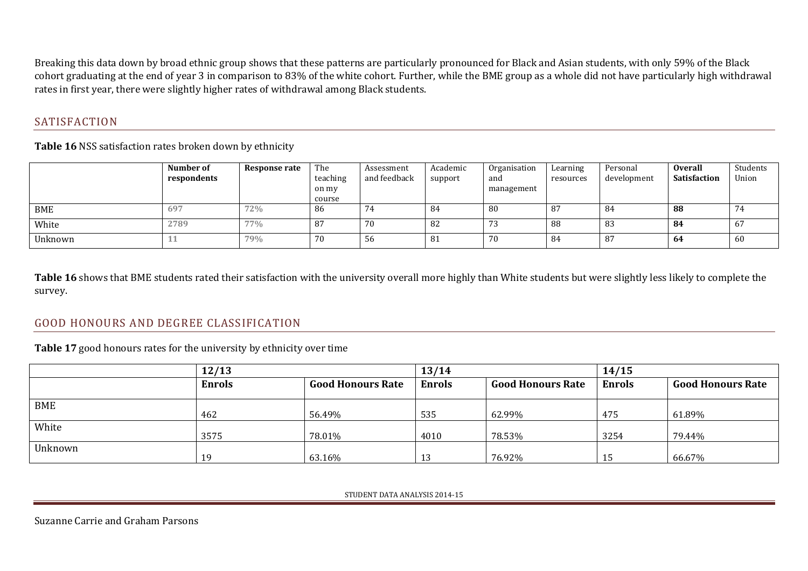Breaking this data down by broad ethnic group shows that these patterns are particularly pronounced for Black and Asian students, with only 59% of the Black cohort graduating at the end of year 3 in comparison to 83% of the white cohort. Further, while the BME group as a whole did not have particularly high withdrawal rates in first year, there were slightly higher rates of withdrawal among Black students.

# SATISFACTION

**Table 16** NSS satisfaction rates broken down by ethnicity

|         | Number of<br>respondents | Response rate | The<br>teaching<br>on my<br>course | Assessment<br>and feedback | Academic<br>support | Organisation<br>and<br>management | Learning<br>resources | Personal<br>development | <b>Overall</b><br><b>Satisfaction</b> | Students<br>Union |
|---------|--------------------------|---------------|------------------------------------|----------------------------|---------------------|-----------------------------------|-----------------------|-------------------------|---------------------------------------|-------------------|
| BME     | 697                      | 72%           | -86                                |                            | 84                  | 80                                | 87                    | -84                     | 88                                    |                   |
| White   | 2789                     | 77%           | -87                                | 70                         | 82                  | 73                                | 88                    | 83                      | -84                                   | b/                |
| Unknown | ᅸ                        | 79%           | 70                                 | 56                         | -81                 | 70                                | 84                    | 87                      | 64                                    | 60                |

**Table 16** shows that BME students rated their satisfaction with the university overall more highly than White students but were slightly less likely to complete the survey.

# GOOD HONOURS AND DEGREE CLASSIFICATION

<span id="page-12-0"></span>**Table 17** good honours rates for the university by ethnicity over time

<span id="page-12-1"></span>

|         | 12/13         |                          | 13/14         |                          | 14/15         |                          |  |  |
|---------|---------------|--------------------------|---------------|--------------------------|---------------|--------------------------|--|--|
|         | <b>Enrols</b> | <b>Good Honours Rate</b> | <b>Enrols</b> | <b>Good Honours Rate</b> | <b>Enrols</b> | <b>Good Honours Rate</b> |  |  |
| BME     |               |                          |               |                          |               |                          |  |  |
| White   | 462           | 56.49%                   | 535           | 62.99%                   | 475           | 61.89%                   |  |  |
|         | 3575          | 78.01%                   | 4010          | 78.53%                   | 3254          | 79.44%                   |  |  |
| Unknown |               |                          |               |                          |               |                          |  |  |
|         | 19            | 63.16%                   | 13            | 76.92%                   | 15            | 66.67%                   |  |  |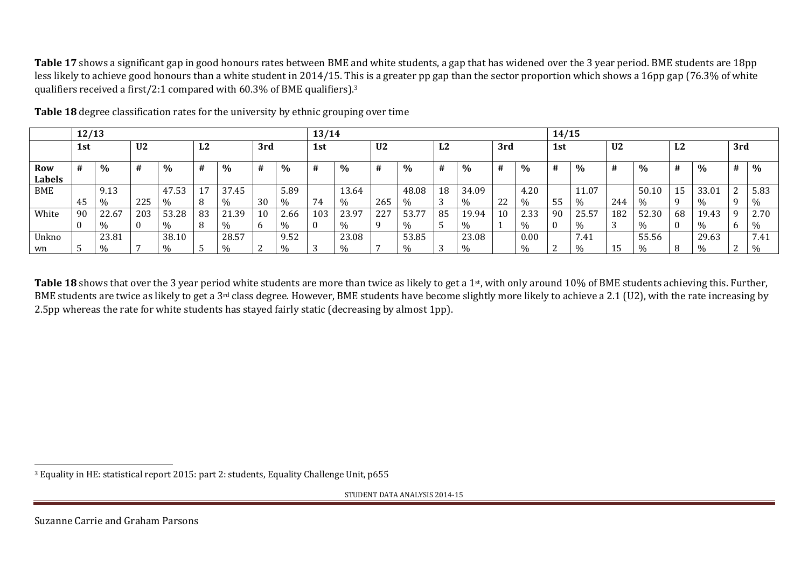**Table 17** shows a significant gap in good honours rates between BME and white students, a gap that has widened over the 3 year period. BME students are 18pp less likely to achieve good honours than a white student in 2014/15. This is a greater pp gap than the sector proportion which shows a 16pp gap (76.3% of white qualifiers received a first/2:1 compared with 60.3% of BME qualifiers).<sup>3</sup>

|                             | 12/13 |       |                |                          |    |                    |              |               | 13/14 |       |                |              |    |               |     |               | 14/15 |                      |                |       |           |               |                           |             |
|-----------------------------|-------|-------|----------------|--------------------------|----|--------------------|--------------|---------------|-------|-------|----------------|--------------|----|---------------|-----|---------------|-------|----------------------|----------------|-------|-----------|---------------|---------------------------|-------------|
|                             | 1st   |       | U <sub>2</sub> |                          | L2 |                    | 3rd          |               | 1st   |       | U <sub>2</sub> |              | L2 |               | 3rd |               | 1st   |                      | U <sub>2</sub> |       | ר ז<br>LД |               | 3rd                       |             |
| <b>Row</b><br><b>Labels</b> | #     | $\%$  |                | $\%$                     | Ħ  | $\%$               | #            | $\%$          |       | %     | Ħ              | $\%$         | #  | $\%$          |     | %             | #     | $\%$                 | #              | %     |           | $\%$          | #                         | $\%$        |
| <b>BME</b>                  |       | 9.13  |                | 47.53                    | 17 | 37.45              |              | 5.89          |       | 13.64 |                | 48.08        | 18 | 34.09         |     | 4.20          |       | 11.07                |                | 50.10 | 15.       | 33.01         | $\mathcal{D}$<br><u>L</u> | 5.83        |
|                             | -45   | $\%$  | 225            | 0/2                      | 8  | $\frac{v}{\alpha}$ | 30           | $\%$          | 74    | $\%$  | 265            | %            |    | $\%$          | 22  | $\frac{0}{0}$ | -55   | 0/2                  | 244            | %     |           | $\frac{0}{0}$ |                           | $\%$        |
| White                       | 90    | 22.67 | 203            | 53.28                    | 83 | 21.39              | 10           | 2.66          | 103   | 23.97 | 227            | 53.77        | 85 | 19.94         | 10  | 2.33          | -90   | 25.57                | 182            | 52.30 | 68        | 19.43         | q                         | 2.70        |
|                             |       | ማስ    |                |                          | 8  |                    | <sub>b</sub> | %             |       |       |                |              |    | $\%$          |     |               |       |                      | ◠<br>О.        | %     |           |               | b                         |             |
| Unkno                       |       | 23.81 |                | 38.10                    |    | 28.57              |              | 9.52          |       | 23.08 |                | 53.85        |    | 23.08         |     | 0.00          |       | $\mathbf{r}$<br>7.41 |                | 55.56 |           | 29.63         |                           | 7.41        |
| wn                          |       | Ψ∩    |                | $\Omega$<br>$U_{\alpha}$ |    | 0/2                | ⌒<br>∼       | $\frac{0}{0}$ |       |       |                | $v_{\alpha}$ |    | $\frac{0}{0}$ |     |               | ∼     | $U_{\alpha}$         | 15             | %     |           | 0/2           | $\sqrt{2}$<br><u>_</u>    | $v_{\rm h}$ |

**Table 18** degree classification rates for the university by ethnic grouping over time

**Table 18** shows that over the 3 year period white students are more than twice as likely to get a 1<sup>st</sup>, with only around 10% of BME students achieving this. Further, BME students are twice as likely to get a 3<sup>rd</sup> class degree. However, BME students have become slightly more likely to achieve a 2.1 (U2), with the rate increasing by 2.5pp whereas the rate for white students has stayed fairly static (decreasing by almost 1pp).

STUDENT DATA ANALYSIS 2014-15

l

<sup>3</sup> Equality in HE: statistical report 2015: part 2: students, Equality Challenge Unit, p655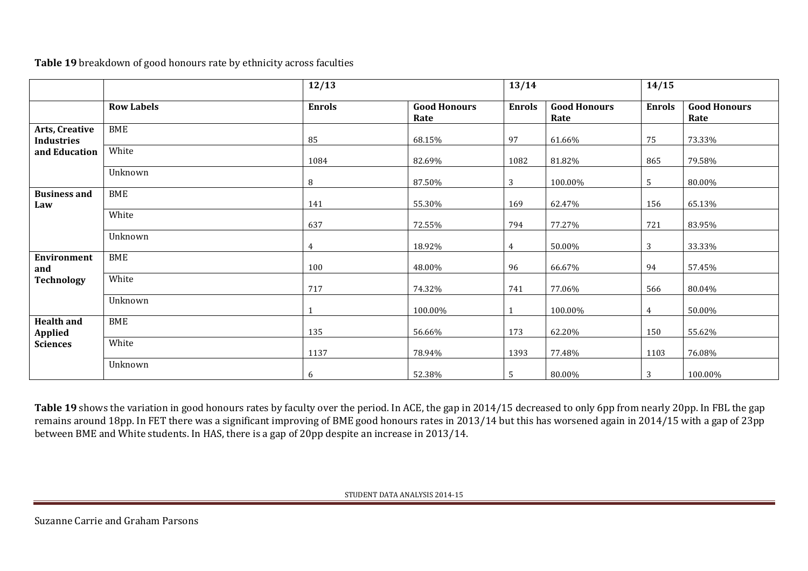**Table 19** breakdown of good honours rate by ethnicity across faculties

|                                     |                   | 12/13         |                             | 13/14          |                             | 14/15         |                             |
|-------------------------------------|-------------------|---------------|-----------------------------|----------------|-----------------------------|---------------|-----------------------------|
|                                     | <b>Row Labels</b> | <b>Enrols</b> | <b>Good Honours</b><br>Rate | <b>Enrols</b>  | <b>Good Honours</b><br>Rate | <b>Enrols</b> | <b>Good Honours</b><br>Rate |
| Arts, Creative<br><b>Industries</b> | <b>BME</b>        | 85            | 68.15%                      | 97             | 61.66%                      | 75            | 73.33%                      |
| and Education                       | White             | 1084          | 82.69%                      | 1082           | 81.82%                      | 865           | 79.58%                      |
|                                     | Unknown           | $\, 8$        | 87.50%                      | 3              | 100.00%                     | 5             | 80.00%                      |
| <b>Business and</b><br>Law          | <b>BME</b>        | 141           | 55.30%                      | 169            | 62.47%                      | 156           | 65.13%                      |
|                                     | White             | 637           | 72.55%                      | 794            | 77.27%                      | 721           | 83.95%                      |
|                                     | Unknown           | 4             | 18.92%                      | $\overline{4}$ | 50.00%                      | $\mathbf{3}$  | 33.33%                      |
| <b>Environment</b><br>and           | <b>BME</b>        | 100           | 48.00%                      | 96             | 66.67%                      | 94            | 57.45%                      |
| <b>Technology</b>                   | White             | 717           | 74.32%                      | 741            | 77.06%                      | 566           | 80.04%                      |
|                                     | Unknown           |               | 100.00%                     |                | 100.00%                     | 4             | 50.00%                      |
| <b>Health and</b><br><b>Applied</b> | <b>BME</b>        | 135           | 56.66%                      | 173            | 62.20%                      | 150           | 55.62%                      |
| <b>Sciences</b>                     | White             | 1137          | 78.94%                      | 1393           | 77.48%                      | 1103          | 76.08%                      |
|                                     | Unknown           | 6             | 52.38%                      | 5              | 80.00%                      | $\mathbf{3}$  | 100.00%                     |

**Table 19** shows the variation in good honours rates by faculty over the period. In ACE, the gap in 2014/15 decreased to only 6pp from nearly 20pp. In FBL the gap remains around 18pp. In FET there was a significant improving of BME good honours rates in 2013/14 but this has worsened again in 2014/15 with a gap of 23pp between BME and White students. In HAS, there is a gap of 20pp despite an increase in 2013/14.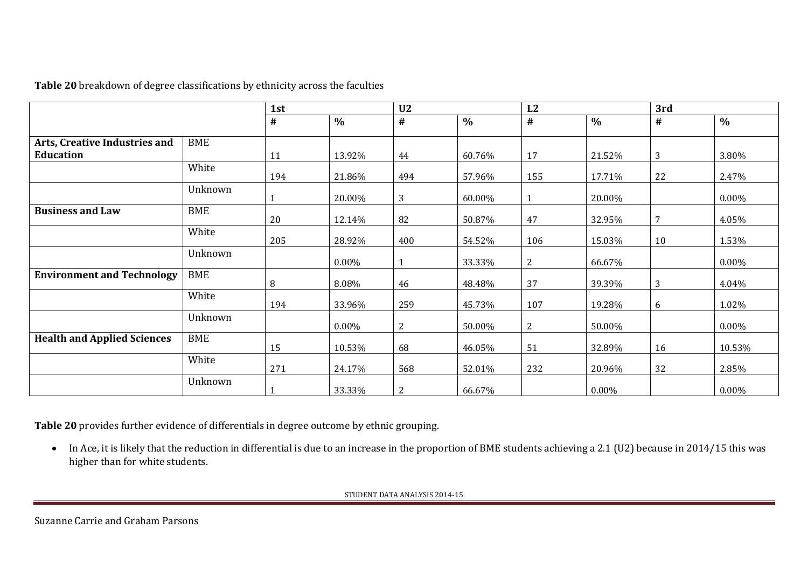**Table 20** breakdown of degree classifications by ethnicity across the faculties

|                                    |            | 1st |               | U <sub>2</sub> |               | L2             |               | 3rd |               |  |
|------------------------------------|------------|-----|---------------|----------------|---------------|----------------|---------------|-----|---------------|--|
|                                    |            | #   | $\frac{0}{0}$ | #              | $\frac{0}{0}$ | #              | $\frac{0}{0}$ | #   | $\frac{0}{0}$ |  |
| Arts, Creative Industries and      | <b>BME</b> |     |               |                |               |                |               |     |               |  |
| Education                          |            | 11  | 13.92%        | 44             | 60.76%        | 17             | 21.52%        | 3   | 3.80%         |  |
|                                    | White      | 194 | 21.86%        | 494            | 57.96%        | 155            | 17.71%        | 22  | 2.47%         |  |
|                                    | Unknown    |     | 20.00%        | 3              | 60.00%        |                | 20.00%        |     | $0.00\%$      |  |
| <b>Business and Law</b>            | <b>BME</b> | 20  | 12.14%        | 82             | 50.87%        | 47             | 32.95%        | 7   | 4.05%         |  |
|                                    | White      | 205 | 28.92%        | 400            | 54.52%        | 106            | 15.03%        | 10  | 1.53%         |  |
|                                    | Unknown    |     | $0.00\%$      |                | 33.33%        | 2              | 66.67%        |     | $0.00\%$      |  |
| <b>Environment and Technology</b>  | <b>BME</b> | 8   | 8.08%         | 46             | 48.48%        | 37             | 39.39%        | 3   | 4.04%         |  |
|                                    | White      | 194 | 33.96%        | 259            | 45.73%        | 107            | 19.28%        | 6   | 1.02%         |  |
|                                    | Unknown    |     | $0.00\%$      | $\overline{c}$ | 50.00%        | $\overline{2}$ | 50.00%        |     | $0.00\%$      |  |
| <b>Health and Applied Sciences</b> | <b>BME</b> | 15  | 10.53%        | 68             | 46.05%        | 51             | 32.89%        | 16  | 10.53%        |  |
|                                    | White      | 271 | 24.17%        | 568            | 52.01%        | 232            | 20.96%        | 32  | 2.85%         |  |
|                                    | Unknown    |     | 33.33%        | $\overline{2}$ | 66.67%        |                | $0.00\%$      |     | 0.00%         |  |

**Table 20** provides further evidence of differentials in degree outcome by ethnic grouping.

• In Ace, it is likely that the reduction in differential is due to an increase in the proportion of BME students achieving a 2.1 (U2) because in 2014/15 this was higher than for white students.